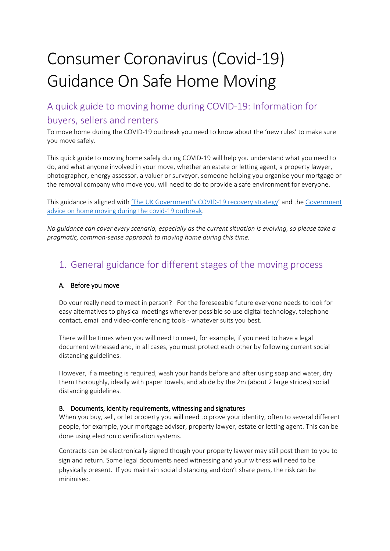# Consumer Coronavirus (Covid-19) Guidance On Safe Home Moving

## A quick guide to moving home during COVID-19: Information for buyers, sellers and renters

To move home during the COVID-19 outbreak you need to know about the 'new rules' to make sure you move safely.

This quick guide to moving home safely during COVID-19 will help you understand what you need to do, and what anyone involved in your move, whether an estate or letting agent, a property lawyer, photographer, energy assessor, a valuer or surveyor, someone helping you organise your mortgage or the removal company who move you, will need to do to provide a safe environment for everyone.

This guidance is aligned with ['The UK Government's COVID-19 recovery strategy'](https://assets.publishing.service.gov.uk/government/uploads/system/uploads/attachment_data/file/884171/FINAL_6.6637_CO_HMG_C19_Recovery_FINAL_110520_v2_WEB__1_.pdf) and the [Government](https://www.gov.uk/guidance/government-advice-on-home-moving-during-the-coronavirus-covid-19-outbreak?utm_source=e0e4eeda-953e-4084-b795-adf5e2870cb4&utm_medium=email&utm_campaign=govuk-notifications&utm_content=immediate)  [advice on home moving during the covid-19 outbreak.](https://www.gov.uk/guidance/government-advice-on-home-moving-during-the-coronavirus-covid-19-outbreak?utm_source=e0e4eeda-953e-4084-b795-adf5e2870cb4&utm_medium=email&utm_campaign=govuk-notifications&utm_content=immediate)

*No guidance can cover every scenario, especially as the current situation is evolving, so please take a pragmatic, common-sense approach to moving home during this time.* 

## 1. General guidance for different stages of the moving process

#### A. Before you move

Do your really need to meet in person? For the foreseeable future everyone needs to look for easy alternatives to physical meetings wherever possible so use digital technology, telephone contact, email and video-conferencing tools - whatever suits you best.

There will be times when you will need to meet, for example, if you need to have a legal document witnessed and, in all cases, you must protect each other by following current social distancing guidelines.

However, if a meeting is required, wash your hands before and after using soap and water, dry them thoroughly, ideally with paper towels, and abide by the 2m (about 2 large strides) social distancing guidelines.

#### B. Documents, identity requirements, witnessing and signatures

When you buy, sell, or let property you will need to prove your identity, often to several different people, for example, your mortgage adviser, property lawyer, estate or letting agent. This can be done using electronic verification systems.

Contracts can be electronically signed though your property lawyer may still post them to you to sign and return. Some legal documents need witnessing and your witness will need to be physically present. If you maintain social distancing and don't share pens, the risk can be minimised.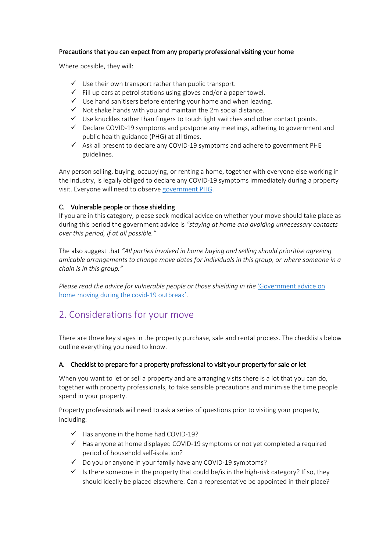#### Precautions that you can expect from any property professional visiting your home

Where possible, they will:

- $\checkmark$  Use their own transport rather than public transport.
- $\checkmark$  Fill up cars at petrol stations using gloves and/or a paper towel.
- $\checkmark$  Use hand sanitisers before entering your home and when leaving.
- $\checkmark$  Not shake hands with you and maintain the 2m social distance.
- $\checkmark$  Use knuckles rather than fingers to touch light switches and other contact points.
- $\checkmark$  Declare COVID-19 symptoms and postpone any meetings, adhering to government and public health guidance (PHG) at all times.
- $\checkmark$  Ask all present to declare any COVID-19 symptoms and adhere to government PHE guidelines.

Any person selling, buying, occupying, or renting a home, together with everyone else working in the industry, is legally obliged to declare any COVID-19 symptoms immediately during a property visit. Everyone will need to observe [government PHG.](https://www.gov.uk/government/collections/coronavirus-covid-19-list-of-guidance)

#### C. Vulnerable people or those shielding

If you are in this category, please seek medical advice on whether your move should take place as during this period the government advice is *"staying at home and avoiding unnecessary contacts over this period, if at all possible."*

The also suggest that *"All parties involved in home buying and selling should prioritise agreeing amicable arrangements to change move dates for individuals in this group, or where someone in a chain is in this group."*

*Please read the advice for vulnerable people or those shielding in the 'Government advice on* [home moving during the covid-19 outbreak'.](https://www.gov.uk/guidance/government-advice-on-home-moving-during-the-coronavirus-covid-19-outbreak?utm_source=e0e4eeda-953e-4084-b795-adf5e2870cb4&utm_medium=email&utm_campaign=govuk-notifications&utm_content=immediate)

## 2. Considerations for your move

There are three key stages in the property purchase, sale and rental process. The checklists below outline everything you need to know.

#### A. Checklist to prepare for a property professional to visit your property for sale or let

When you want to let or sell a property and are arranging visits there is a lot that you can do, together with property professionals, to take sensible precautions and minimise the time people spend in your property.

Property professionals will need to ask a series of questions prior to visiting your property, including:

- $\checkmark$  Has anyone in the home had COVID-19?
- $\checkmark$  Has anyone at home displayed COVID-19 symptoms or not yet completed a required period of household self-isolation?
- $\checkmark$  Do you or anyone in your family have any COVID-19 symptoms?
- $\checkmark$  Is there someone in the property that could be/is in the high-risk category? If so, they should ideally be placed elsewhere. Can a representative be appointed in their place?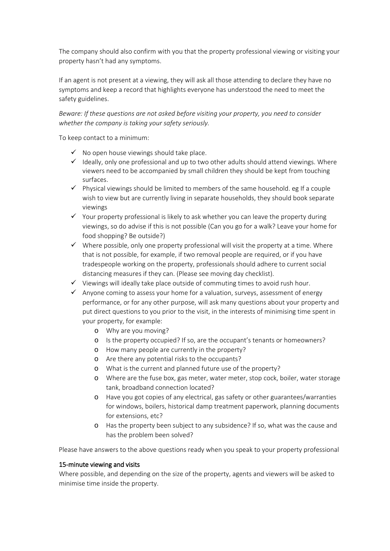The company should also confirm with you that the property professional viewing or visiting your property hasn't had any symptoms.

If an agent is not present at a viewing, they will ask all those attending to declare they have no symptoms and keep a record that highlights everyone has understood the need to meet the safety guidelines.

*Beware: If these questions are not asked before visiting your property, you need to consider whether the company is taking your safety seriously.*

To keep contact to a minimum:

- $\checkmark$  No open house viewings should take place.
- $\checkmark$  Ideally, only one professional and up to two other adults should attend viewings. Where viewers need to be accompanied by small children they should be kept from touching surfaces.
- $\checkmark$  Physical viewings should be limited to members of the same household. eg If a couple wish to view but are currently living in separate households, they should book separate viewings
- $\checkmark$  Your property professional is likely to ask whether you can leave the property during viewings, so do advise if this is not possible (Can you go for a walk? Leave your home for food shopping? Be outside?)
- $\checkmark$  Where possible, only one property professional will visit the property at a time. Where that is not possible, for example, if two removal people are required, or if you have tradespeople working on the property, professionals should adhere to current social distancing measures if they can. (Please see moving day checklist).
- $\checkmark$  Viewings will ideally take place outside of commuting times to avoid rush hour.
- $\checkmark$  Anyone coming to assess your home for a valuation, surveys, assessment of energy performance, or for any other purpose, will ask many questions about your property and put direct questions to you prior to the visit, in the interests of minimising time spent in your property, for example:
	- o Why are you moving?
	- o Is the property occupied? If so, are the occupant's tenants or homeowners?
	- o How many people are currently in the property?
	- o Are there any potential risks to the occupants?
	- o What is the current and planned future use of the property?
	- o Where are the fuse box, gas meter, water meter, stop cock, boiler, water storage tank, broadband connection located?
	- o Have you got copies of any electrical, gas safety or other guarantees/warranties for windows, boilers, historical damp treatment paperwork, planning documents for extensions, etc?
	- o Has the property been subject to any subsidence? If so, what was the cause and has the problem been solved?

Please have answers to the above questions ready when you speak to your property professional

#### 15-minute viewing and visits

Where possible, and depending on the size of the property, agents and viewers will be asked to minimise time inside the property.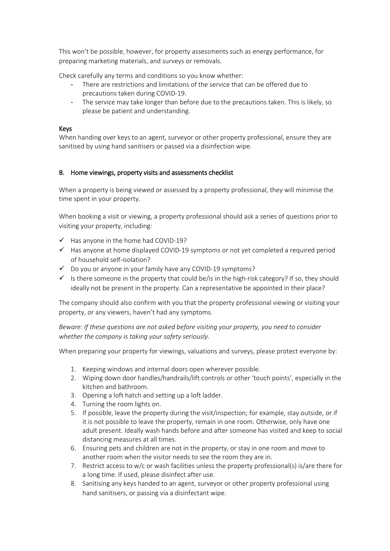This won't be possible, however, for property assessments such as energy performance, for preparing marketing materials, and surveys or removals.

Check carefully any terms and conditions so you know whether:

- There are restrictions and limitations of the service that can be offered due to precautions taken during COVID-19.
- The service may take longer than before due to the precautions taken. This is likely, so please be patient and understanding.

#### Keys

When handing over keys to an agent, surveyor or other property professional, ensure they are sanitised by using hand sanitisers or passed via a disinfection wipe.

#### B. Home viewings, property visits and assessments checklist

When a property is being viewed or assessed by a property professional, they will minimise the time spent in your property.

When booking a visit or viewing, a property professional should ask a series of questions prior to visiting your property, including:

- $\checkmark$  Has anyone in the home had COVID-19?
- $\checkmark$  Has anyone at home displayed COVID-19 symptoms or not yet completed a required period of household self-isolation?
- $\checkmark$  Do you or anyone in your family have any COVID-19 symptoms?
- $\checkmark$  Is there someone in the property that could be/is in the high-risk category? If so, they should ideally not be present in the property. Can a representative be appointed in their place?

The company should also confirm with you that the property professional viewing or visiting your property, or any viewers, haven't had any symptoms.

*Beware: If these questions are not asked before visiting your property, you need to consider whether the company is taking your safety seriously.*

When preparing your property for viewings, valuations and surveys, please protect everyone by:

- 1. Keeping windows and internal doors open wherever possible.
- 2. Wiping down door handles/handrails/lift controls or other 'touch points', especially in the kitchen and bathroom.
- 3. Opening a loft hatch and setting up a loft ladder.
- 4. Turning the room lights on.
- 5. If possible, leave the property during the visit/inspection; for example, stay outside, or if it is not possible to leave the property, remain in one room. Otherwise, only have one adult present. Ideally wash hands before and after someone has visited and keep to social distancing measures at all times.
- 6. Ensuring pets and children are not in the property, or stay in one room and move to another room when the visitor needs to see the room they are in.
- 7. Restrict access to w/c or wash facilities unless the property professional(s) is/are there for a long time. If used, please disinfect after use.
- 8. Sanitising any keys handed to an agent, surveyor or other property professional using hand sanitisers, or passing via a disinfectant wipe.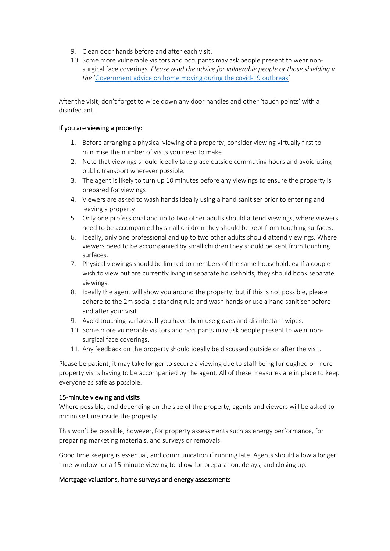- 9. Clean door hands before and after each visit.
- 10. Some more vulnerable visitors and occupants may ask people present to wear nonsurgical face coverings. *Please read the advice for vulnerable people or those shielding in the* ['Government advice on home moving during the covid-19 outbreak'](https://www.gov.uk/guidance/government-advice-on-home-moving-during-the-coronavirus-covid-19-outbreak?utm_source=e0e4eeda-953e-4084-b795-adf5e2870cb4&utm_medium=email&utm_campaign=govuk-notifications&utm_content=immediate)

After the visit, don't forget to wipe down any door handles and other 'touch points' with a disinfectant.

#### If you are viewing a property:

- 1. Before arranging a physical viewing of a property, consider viewing virtually first to minimise the number of visits you need to make.
- 2. Note that viewings should ideally take place outside commuting hours and avoid using public transport wherever possible.
- 3. The agent is likely to turn up 10 minutes before any viewings to ensure the property is prepared for viewings
- 4. Viewers are asked to wash hands ideally using a hand sanitiser prior to entering and leaving a property
- 5. Only one professional and up to two other adults should attend viewings, where viewers need to be accompanied by small children they should be kept from touching surfaces.
- 6. Ideally, only one professional and up to two other adults should attend viewings. Where viewers need to be accompanied by small children they should be kept from touching surfaces.
- 7. Physical viewings should be limited to members of the same household. eg If a couple wish to view but are currently living in separate households, they should book separate viewings.
- 8. Ideally the agent will show you around the property, but if this is not possible, please adhere to the 2m social distancing rule and wash hands or use a hand sanitiser before and after your visit.
- 9. Avoid touching surfaces. If you have them use gloves and disinfectant wipes.
- 10. Some more vulnerable visitors and occupants may ask people present to wear nonsurgical face coverings.
- 11. Any feedback on the property should ideally be discussed outside or after the visit.

Please be patient; it may take longer to secure a viewing due to staff being furloughed or more property visits having to be accompanied by the agent. All of these measures are in place to keep everyone as safe as possible.

#### 15-minute viewing and visits

Where possible, and depending on the size of the property, agents and viewers will be asked to minimise time inside the property.

This won't be possible, however, for property assessments such as energy performance, for preparing marketing materials, and surveys or removals.

Good time keeping is essential, and communication if running late. Agents should allow a longer time-window for a 15-minute viewing to allow for preparation, delays, and closing up.

#### Mortgage valuations, home surveys and energy assessments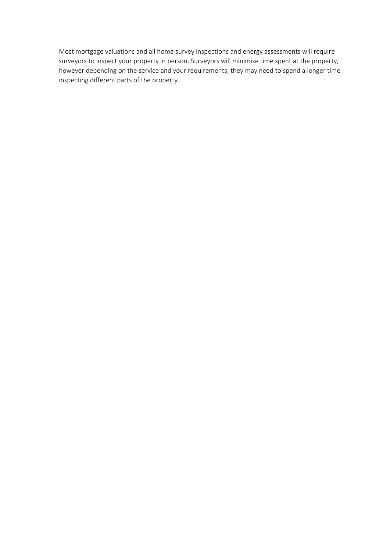Most mortgage valuations and all home survey inspections and energy assessments will require surveyors to inspect your property in person. Surveyors will minimise time spent at the property, however depending on the service and your requirements, they may need to spend a longer time inspecting different parts of the property.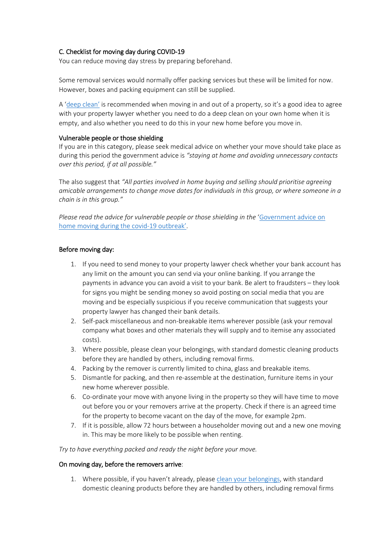#### C. Checklist for moving day during COVID-19

You can reduce moving day stress by preparing beforehand.

Some removal services would normally offer packing services but these will be limited for now. However, boxes and packing equipment can still be supplied.

A ['deep clean'](https://www.gov.uk/government/publications/covid-19-decontamination-in-non-healthcare-settings/covid-19-decontamination-in-non-healthcare-settings) is recommended when moving in and out of a property, so it's a good idea to agree with your property lawyer whether you need to do a deep clean on your own home when it is empty, and also whether you need to do this in your new home before you move in.

#### Vulnerable people or those shielding

If you are in this category, please seek medical advice on whether your move should take place as during this period the government advice is *"staying at home and avoiding unnecessary contacts over this period, if at all possible."*

The also suggest that *"All parties involved in home buying and selling should prioritise agreeing amicable arrangements to change move dates for individuals in this group, or where someone in a chain is in this group."*

*Please read the advice for vulnerable people or those shielding in the* ['Government advice on](https://www.gov.uk/guidance/government-advice-on-home-moving-during-the-coronavirus-covid-19-outbreak?utm_source=e0e4eeda-953e-4084-b795-adf5e2870cb4&utm_medium=email&utm_campaign=govuk-notifications&utm_content=immediate)  [home moving during the covid-19 outbreak'.](https://www.gov.uk/guidance/government-advice-on-home-moving-during-the-coronavirus-covid-19-outbreak?utm_source=e0e4eeda-953e-4084-b795-adf5e2870cb4&utm_medium=email&utm_campaign=govuk-notifications&utm_content=immediate)

#### Before moving day:

- 1. If you need to send money to your property lawyer check whether your bank account has any limit on the amount you can send via your online banking. If you arrange the payments in advance you can avoid a visit to your bank. Be alert to fraudsters – they look for signs you might be sending money so avoid posting on social media that you are moving and be especially suspicious if you receive communication that suggests your property lawyer has changed their bank details.
- 2. Self-pack miscellaneous and non-breakable items wherever possible (ask your removal company what boxes and other materials they will supply and to itemise any associated costs).
- 3. Where possible, please clean your belongings, with standard domestic cleaning products before they are handled by others, including removal firms.
- 4. Packing by the remover is currently limited to china, glass and breakable items.
- 5. Dismantle for packing, and then re-assemble at the destination, furniture items in your new home wherever possible.
- 6. Co-ordinate your move with anyone living in the property so they will have time to move out before you or your removers arrive at the property. Check if there is an agreed time for the property to become vacant on the day of the move, for example 2pm.
- 7. If it is possible, allow 72 hours between a householder moving out and a new one moving in. This may be more likely to be possible when renting.

*Try to have everything packed and ready the night before your move.*

#### On moving day, before the removers arrive:

1. Where possible, if you haven't already, please [clean your belongings,](https://www.gov.uk/government/publications/covid-19-decontamination-in-non-healthcare-settings/covid-19-decontamination-in-non-healthcare-settings) with standard domestic cleaning products before they are handled by others, including removal firms